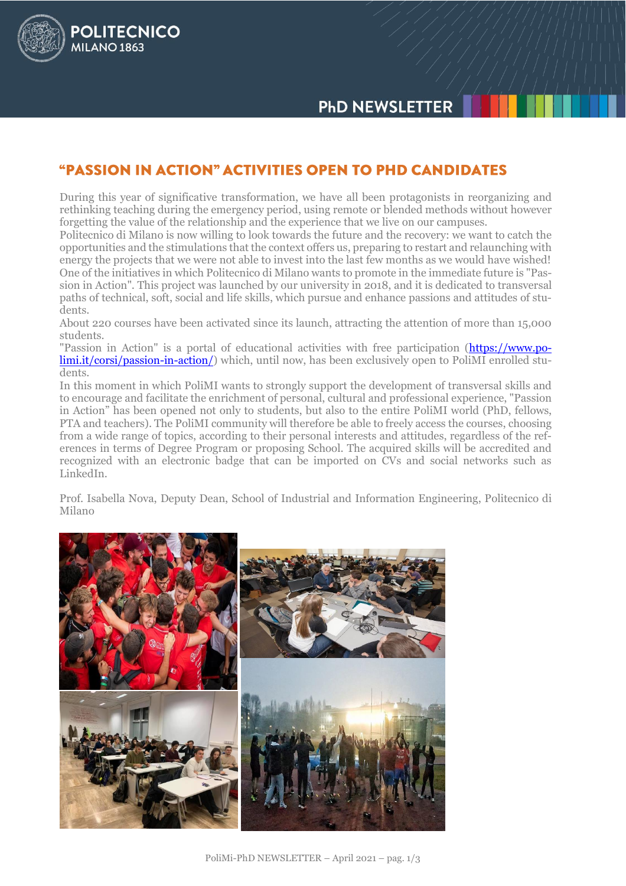## **"PASSION IN ACTION" ACTIVITIES OPEN TO PHD CANDIDATES**

POLITECNICO

MILANO<sub>1863</sub>

During this year of significative transformation, we have all been protagonists in reorganizing and rethinking teaching during the emergency period, using remote or blended methods without however forgetting the value of the relationship and the experience that we live on our campuses.

Politecnico di Milano is now willing to look towards the future and the recovery: we want to catch the opportunities and the stimulations that the context offers us, preparing to restart and relaunching with energy the projects that we were not able to invest into the last few months as we would have wished! One of the initiatives in which Politecnico di Milano wants to promote in the immediate future is "Passion in Action". This project was launched by our university in 2018, and it is dedicated to transversal paths of technical, soft, social and life skills, which pursue and enhance passions and attitudes of students.

About 220 courses have been activated since its launch, attracting the attention of more than 15,000 students.

"Passion in Action" is a portal of educational activities with free participation [\(https://www.po](https://www.polimi.it/corsi/passion-in-action/)[limi.it/corsi/passion-in-action/\)](https://www.polimi.it/corsi/passion-in-action/) which, until now, has been exclusively open to PoliMI enrolled students.

In this moment in which PoliMI wants to strongly support the development of transversal skills and to encourage and facilitate the enrichment of personal, cultural and professional experience, "Passion in Action" has been opened not only to students, but also to the entire PoliMI world (PhD, fellows, PTA and teachers). The PoliMI community will therefore be able to freely access the courses, choosing from a wide range of topics, according to their personal interests and attitudes, regardless of the references in terms of Degree Program or proposing School. The acquired skills will be accredited and recognized with an electronic badge that can be imported on CVs and social networks such as LinkedIn.

Prof. Isabella Nova, Deputy Dean, School of Industrial and Information Engineering, Politecnico di Milano

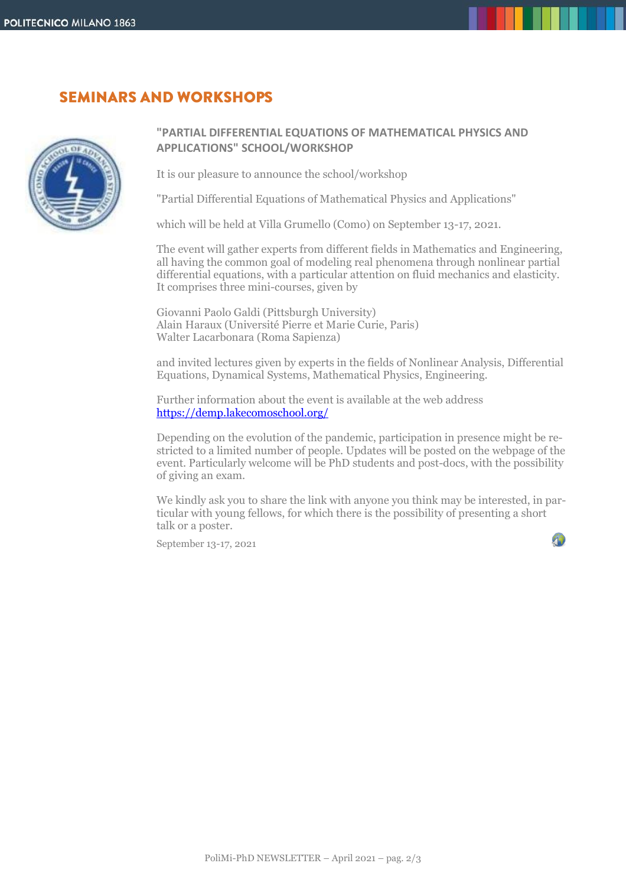### **SEMINARS AND WORKSHOPS**



### **"PARTIAL DIFFERENTIAL EQUATIONS OF MATHEMATICAL PHYSICS AND APPLICATIONS" SCHOOL/WORKSHOP**

It is our pleasure to announce the school/workshop

"Partial Differential Equations of Mathematical Physics and Applications"

which will be held at Villa Grumello (Como) on September 13-17, 2021.

The event will gather experts from different fields in Mathematics and Engineering, all having the common goal of modeling real phenomena through nonlinear partial differential equations, with a particular attention on fluid mechanics and elasticity. It comprises three mini-courses, given by

Giovanni Paolo Galdi (Pittsburgh University) Alain Haraux (Université Pierre et Marie Curie, Paris) Walter Lacarbonara (Roma Sapienza)

and invited lectures given by experts in the fields of Nonlinear Analysis, Differential Equations, Dynamical Systems, Mathematical Physics, Engineering.

Further information about the event is available at the web address <https://demp.lakecomoschool.org/>

Depending on the evolution of the pandemic, participation in presence might be restricted to a limited number of people. Updates will be posted on the webpage of the event. Particularly welcome will be PhD students and post-docs, with the possibility of giving an exam.

We kindly ask you to share the link with anyone you think may be interested, in particular with young fellows, for which there is the possibility of presenting a short talk or a poster.

September 13-17, 2021

40